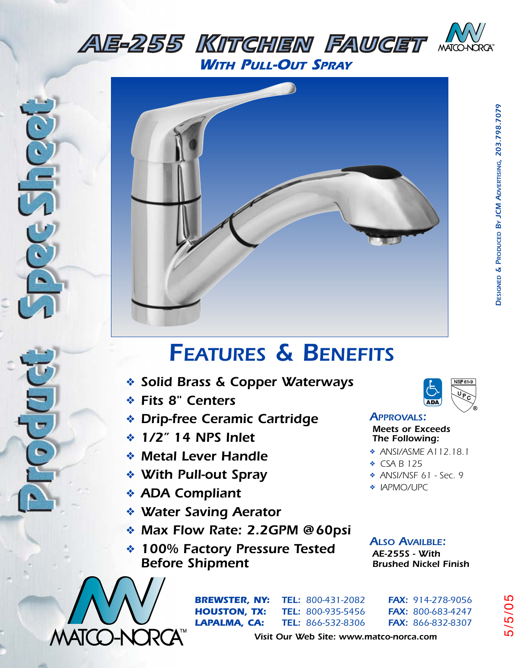



## *FEATURES & BENEFITS*

- *AE-105PBW TUB & SHOWER SET* ❖ *Solid Brass & Copper Waterways*
	- ❖ *Fits 8" Centers*
- **EXAMPLES & CENTERS** (ADA) ❖ *Drip-free Ceramic Cartridge*
	- ❖ *1/2" 14 NPS Inlet*
- *AMotel Lover Handle ABSI/ASME A112.18.1* ❖ *Metal Lever Handle*
	- ❖ *With Pull-out Spray*
- **ADA Compliant** *APMO/UPC* ❖ *ADA Compliant*
	- ❖ *Water Saving Aerator*
- ↑ AF-255 Person<sub>g</sub><br>
↓ Max Flow Rate: 2.2GPM @60psi
- **AE-255S W**<br>Before Shipment Brushed Nick ❖ *100% Factory Pressure Tested*



*DESIGNED & PRODUCED*

*BY JCM ADVERTISING, 203.798.7079*

DESIGNED & PRODUCED BY JCM ADVERTISING, 203.798.7079

## *APPROVALS:*

*Meets or Exceeds The Following:*

- ❖ *ANSI/ASME A112.18.1*
- ❖ *CSA B 125*
- ❖ *ANSI/NSF 61 Sec. 9*
- ❖ *IAPMO/UPC*
- *ALSO AVAILBLE: AE-255S - With Brushed Nickel Finish*



*BREWSTER, NY: TEL: 800-431-2082 FAX: 914-278-9056 HOUSTON, TX: TEL: 800-935-5456 FAX: 800-683-4247 LAPALMA, CA: TEL: 866-532-8306 FAX: 866-832-8307* 5/5/05

*Visit Our Web Site: www.matco-norca.com*